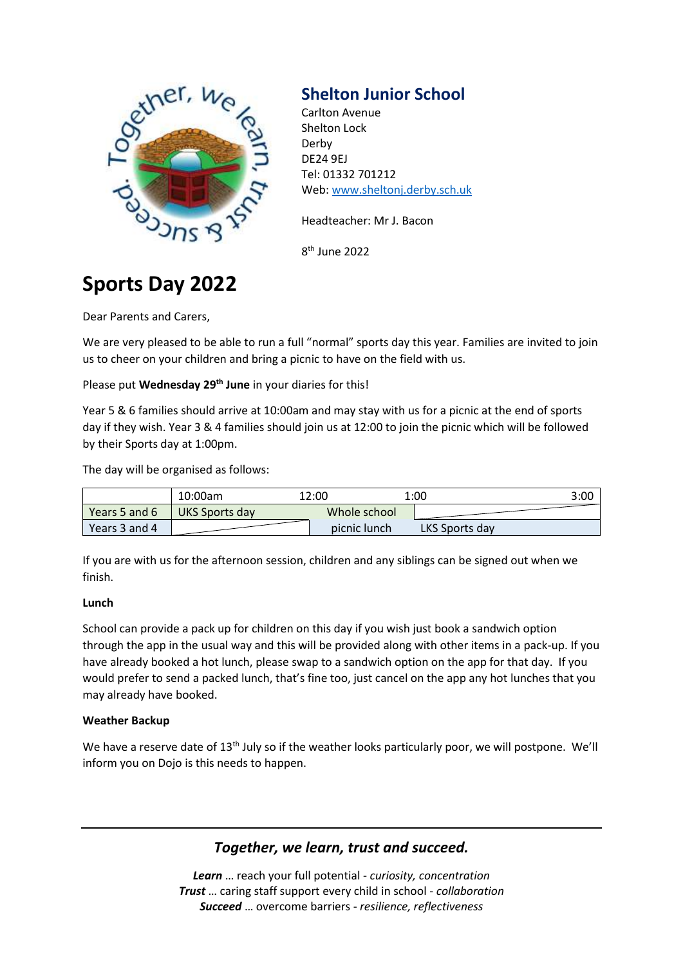

## **Shelton Junior School**

Carlton Avenue Shelton Lock Derby DE24 9EJ Tel: 01332 701212 Web: [www.sheltonj.derby.sch.uk](http://www.sheltonj.derby.sch.uk/)

Headteacher: Mr J. Bacon

8 th June 2022

# **Sports Day 2022**

Dear Parents and Carers,

We are very pleased to be able to run a full "normal" sports day this year. Families are invited to join us to cheer on your children and bring a picnic to have on the field with us.

Please put **Wednesday 29th June** in your diaries for this!

Year 5 & 6 families should arrive at 10:00am and may stay with us for a picnic at the end of sports day if they wish. Year 3 & 4 families should join us at 12:00 to join the picnic which will be followed by their Sports day at 1:00pm.

The day will be organised as follows:

|                  | 10:00am        | 12:00        | 1:00           | 3:00 |
|------------------|----------------|--------------|----------------|------|
| Years 5 and $61$ | UKS Sports day | Whole school |                |      |
| Years 3 and 4    |                | picnic lunch | LKS Sports day |      |

If you are with us for the afternoon session, children and any siblings can be signed out when we finish.

## **Lunch**

School can provide a pack up for children on this day if you wish just book a sandwich option through the app in the usual way and this will be provided along with other items in a pack-up. If you have already booked a hot lunch, please swap to a sandwich option on the app for that day. If you would prefer to send a packed lunch, that's fine too, just cancel on the app any hot lunches that you may already have booked.

## **Weather Backup**

We have a reserve date of 13<sup>th</sup> July so if the weather looks particularly poor, we will postpone. We'll inform you on Dojo is this needs to happen.

## *Together, we learn, trust and succeed.*

*Learn* … reach your full potential - *curiosity, concentration Trust* … caring staff support every child in school - *collaboration Succeed* … overcome barriers - *resilience, reflectiveness*